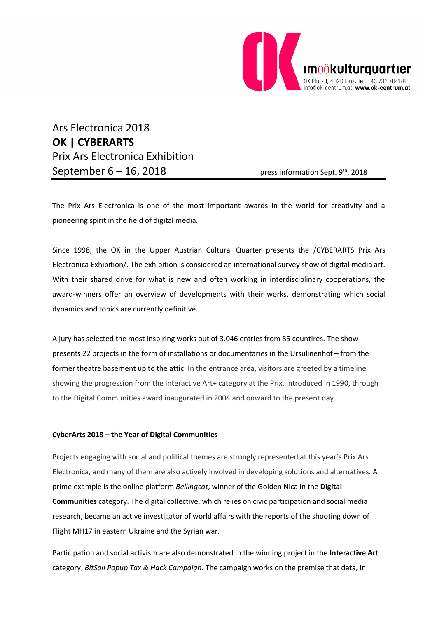

Ars Electronica 2018 **OK | CYBERARTS** Prix Ars Electronica Exhibition September  $6 - 16$ , 2018 press information Sept.  $9<sup>th</sup>$ , 2018

The Prix Ars Electronica is one of the most important awards in the world for creativity and a pioneering spirit in the field of digital media.

Since 1998, the OK in the Upper Austrian Cultural Quarter presents the /CYBERARTS Prix Ars Electronica Exhibition/. The exhibition is considered an international survey show of digital media art. With their shared drive for what is new and often working in interdisciplinary cooperations, the award-winners offer an overview of developments with their works, demonstrating which social dynamics and topics are currently definitive.

A jury has selected the most inspiring works out of 3.046 entries from 85 countires. The show presents 22 projects in the form of installations or documentaries in the Ursulinenhof – from the former theatre basement up to the attic. In the entrance area, visitors are greeted by a timeline showing the progression from the Interactive Art+ category at the Prix, introduced in 1990, through to the Digital Communities award inaugurated in 2004 and onward to the present day.

#### **CyberArts 2018 – the Year of Digital Communities**

Projects engaging with social and political themes are strongly represented at this year's Prix Ars Electronica, and many of them are also actively involved in developing solutions and alternatives. A prime example is the online platform *Bellingcat*, winner of the Golden Nica in the **Digital Communities** category. The digital collective, which relies on civic participation and social media research, became an active investigator of world affairs with the reports of the shooting down of Flight MH17 in eastern Ukraine and the Syrian war.

Participation and social activism are also demonstrated in the winning project in the **Interactive Art** category, *BitSoil Popup Tax & Hack Campaign*. The campaign works on the premise that data, in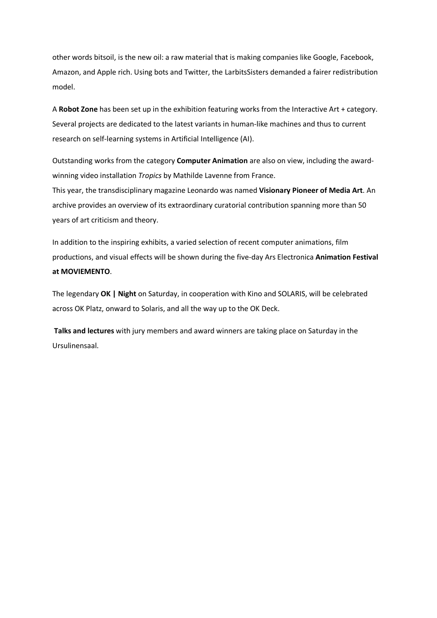other words bitsoil, is the new oil: a raw material that is making companies like Google, Facebook, Amazon, and Apple rich. Using bots and Twitter, the LarbitsSisters demanded a fairer redistribution model.

A **Robot Zone** has been set up in the exhibition featuring works from the Interactive Art + category. Several projects are dedicated to the latest variants in human-like machines and thus to current research on self-learning systems in Artificial Intelligence (AI).

Outstanding works from the category **Computer Animation** are also on view, including the awardwinning video installation *Tropics* by Mathilde Lavenne from France.

This year, the transdisciplinary magazine Leonardo was named **Visionary Pioneer of Media Art**. An archive provides an overview of its extraordinary curatorial contribution spanning more than 50 years of art criticism and theory.

In addition to the inspiring exhibits, a varied selection of recent computer animations, film productions, and visual effects will be shown during the five-day Ars Electronica **Animation Festival at MOVIEMENTO**.

The legendary **OK | Night** on Saturday, in cooperation with Kino and SOLARIS, will be celebrated across OK Platz, onward to Solaris, and all the way up to the OK Deck.

**Talks and lectures** with jury members and award winners are taking place on Saturday in the Ursulinensaal.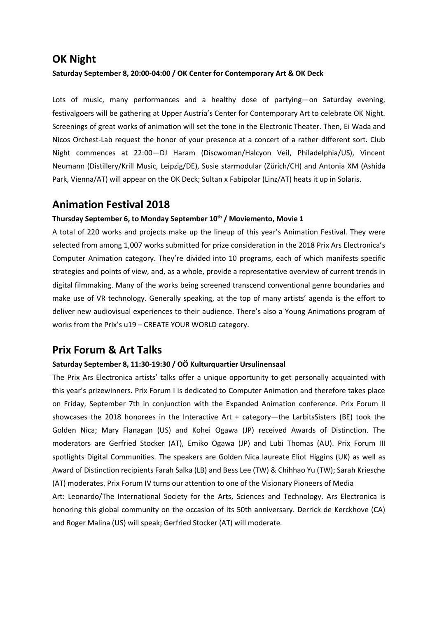### **OK Night**

#### **Saturday September 8, 20:00-04:00 / OK Center for Contemporary Art & OK Deck**

Lots of music, many performances and a healthy dose of partying—on Saturday evening, festivalgoers will be gathering at Upper Austria's Center for Contemporary Art to celebrate OK Night. Screenings of great works of animation will set the tone in the Electronic Theater. Then, Ei Wada and Nicos Orchest-Lab request the honor of your presence at a concert of a rather different sort. Club Night commences at 22:00—DJ Haram (Discwoman/Halcyon Veil, Philadelphia/US), Vincent Neumann (Distillery/Krill Music, Leipzig/DE), Susie starmodular (Zürich/CH) and Antonia XM (Ashida Park, Vienna/AT) will appear on the OK Deck; Sultan x Fabipolar (Linz/AT) heats it up in Solaris.

### **Animation Festival 2018**

#### Thursday September 6, to Monday September 10<sup>th</sup> / Moviemento, Movie 1

A total of 220 works and projects make up the lineup of this year's Animation Festival. They were selected from among 1,007 works submitted for prize consideration in the 2018 Prix Ars Electronica's Computer Animation category. They're divided into 10 programs, each of which manifests specific strategies and points of view, and, as a whole, provide a representative overview of current trends in digital filmmaking. Many of the works being screened transcend conventional genre boundaries and make use of VR technology. Generally speaking, at the top of many artists' agenda is the effort to deliver new audiovisual experiences to their audience. There's also a Young Animations program of works from the Prix's u19 – CREATE YOUR WORLD category.

## **Prix Forum & Art Talks**

#### **Saturday September 8, 11:30-19:30 / OÖ Kulturquartier Ursulinensaal**

The Prix Ars Electronica artists' talks offer a unique opportunity to get personally acquainted with this year's prizewinners. Prix Forum I is dedicated to Computer Animation and therefore takes place on Friday, September 7th in conjunction with the Expanded Animation conference. Prix Forum II showcases the 2018 honorees in the Interactive Art + category—the LarbitsSisters (BE) took the Golden Nica; Mary Flanagan (US) and Kohei Ogawa (JP) received Awards of Distinction. The moderators are Gerfried Stocker (AT), Emiko Ogawa (JP) and Lubi Thomas (AU). Prix Forum III spotlights Digital Communities. The speakers are Golden Nica laureate Eliot Higgins (UK) as well as Award of Distinction recipients Farah Salka (LB) and Bess Lee (TW) & Chihhao Yu (TW); Sarah Kriesche (AT) moderates. Prix Forum IV turns our attention to one of the Visionary Pioneers of Media

Art: Leonardo/The International Society for the Arts, Sciences and Technology. Ars Electronica is honoring this global community on the occasion of its 50th anniversary. Derrick de Kerckhove (CA) and Roger Malina (US) will speak; Gerfried Stocker (AT) will moderate.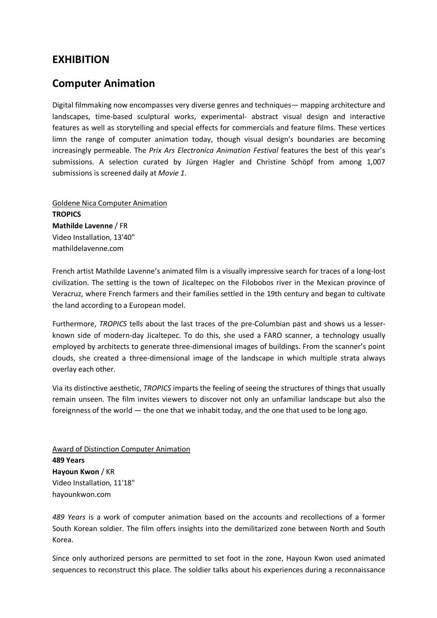### **EXHIBITION**

## **Computer Animation**

Digital filmmaking now encompasses very diverse genres and techniques— mapping architecture and landscapes, time-based sculptural works, experimental- abstract visual design and interactive features as well as storytelling and special effects for commercials and feature films. These vertices limn the range of computer animation today, though visual design's boundaries are becoming increasingly permeable. The *Prix Ars Electronica Animation Festival* features the best of this year's submissions. A selection curated by Jürgen Hagler and Christine Schöpf from among 1,007 submissions is screened daily at *Movie 1*.

Goldene Nica Computer Animation **TROPICS Mathilde Lavenne** / FR Video Installation, 13'40" mathildelavenne.com

French artist Mathilde Lavenne's animated film is a visually impressive search for traces of a long-lost civilization. The setting is the town of Jicaltepec on the Filobobos river in the Mexican province of Veracruz, where French farmers and their families settled in the 19th century and began to cultivate the land according to a European model.

Furthermore, *TROPICS* tells about the last traces of the pre-Columbian past and shows us a lesserknown side of modern-day Jicaltepec. To do this, she used a FARO scanner, a technology usually employed by architects to generate three-dimensional images of buildings. From the scanner's point clouds, she created a three-dimensional image of the landscape in which multiple strata always overlay each other.

Via its distinctive aesthetic, *TROPICS* imparts the feeling of seeing the structures of things that usually remain unseen. The film invites viewers to discover not only an unfamiliar landscape but also the foreignness of the world — the one that we inhabit today, and the one that used to be long ago.

Award of Distinction Computer Animation **489 Years Hayoun Kwon** / KR Video Installation, 11'18" hayounkwon.com

*489 Years* is a work of computer animation based on the accounts and recollections of a former South Korean soldier. The film offers insights into the demilitarized zone between North and South Korea.

Since only authorized persons are permitted to set foot in the zone, Hayoun Kwon used animated sequences to reconstruct this place. The soldier talks about his experiences during a reconnaissance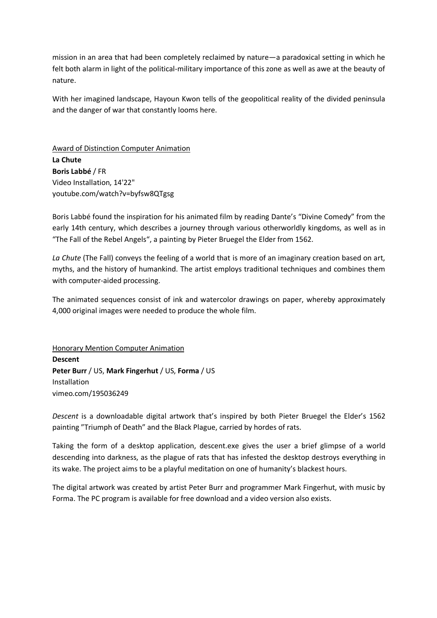mission in an area that had been completely reclaimed by nature—a paradoxical setting in which he felt both alarm in light of the political-military importance of this zone as well as awe at the beauty of nature.

With her imagined landscape, Hayoun Kwon tells of the geopolitical reality of the divided peninsula and the danger of war that constantly looms here.

Award of Distinction Computer Animation **La Chute Boris Labbé** / FR Video Installation, 14'22" youtube.com/watch?v=byfsw8QTgsg

Boris Labbé found the inspiration for his animated film by reading Dante's "Divine Comedy" from the early 14th century, which describes a journey through various otherworldly kingdoms, as well as in "The Fall of the Rebel Angels", a painting by Pieter Bruegel the Elder from 1562.

*La Chute* (The Fall) conveys the feeling of a world that is more of an imaginary creation based on art, myths, and the history of humankind. The artist employs traditional techniques and combines them with computer-aided processing.

The animated sequences consist of ink and watercolor drawings on paper, whereby approximately 4,000 original images were needed to produce the whole film.

Honorary Mention Computer Animation **Descent Peter Burr** / US, **Mark Fingerhut** / US, **Forma** / US Installation vimeo.com/195036249

*Descent* is a downloadable digital artwork that's inspired by both Pieter Bruegel the Elder's 1562 painting "Triumph of Death" and the Black Plague, carried by hordes of rats.

Taking the form of a desktop application, descent.exe gives the user a brief glimpse of a world descending into darkness, as the plague of rats that has infested the desktop destroys everything in its wake. The project aims to be a playful meditation on one of humanity's blackest hours.

The digital artwork was created by artist Peter Burr and programmer Mark Fingerhut, with music by Forma. The PC program is available for free download and a video version also exists.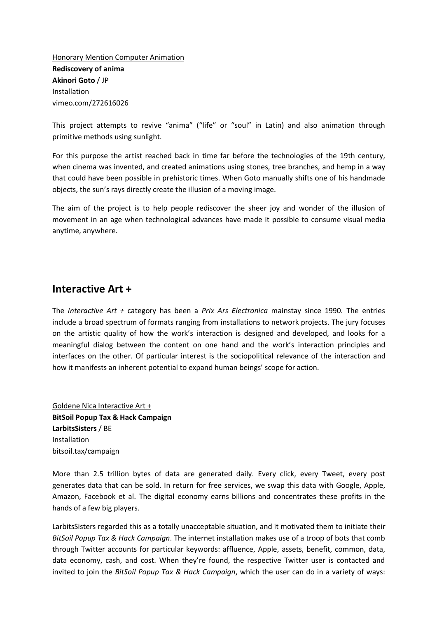Honorary Mention Computer Animation **Rediscovery of anima Akinori Goto** / JP Installation vimeo.com/272616026

This project attempts to revive "anima" ("life" or "soul" in Latin) and also animation through primitive methods using sunlight.

For this purpose the artist reached back in time far before the technologies of the 19th century, when cinema was invented, and created animations using stones, tree branches, and hemp in a way that could have been possible in prehistoric times. When Goto manually shifts one of his handmade objects, the sun's rays directly create the illusion of a moving image.

The aim of the project is to help people rediscover the sheer joy and wonder of the illusion of movement in an age when technological advances have made it possible to consume visual media anytime, anywhere.

### **Interactive Art +**

The *Interactive Art +* category has been a *Prix Ars Electronica* mainstay since 1990. The entries include a broad spectrum of formats ranging from installations to network projects. The jury focuses on the artistic quality of how the work's interaction is designed and developed, and looks for a meaningful dialog between the content on one hand and the work's interaction principles and interfaces on the other. Of particular interest is the sociopolitical relevance of the interaction and how it manifests an inherent potential to expand human beings' scope for action.

Goldene Nica Interactive Art + **BitSoil Popup Tax & Hack Campaign LarbitsSisters** / BE Installation bitsoil.tax/campaign

More than 2.5 trillion bytes of data are generated daily. Every click, every Tweet, every post generates data that can be sold. In return for free services, we swap this data with Google, Apple, Amazon, Facebook et al. The digital economy earns billions and concentrates these profits in the hands of a few big players.

LarbitsSisters regarded this as a totally unacceptable situation, and it motivated them to initiate their *BitSoil Popup Tax & Hack Campaign*. The internet installation makes use of a troop of bots that comb through Twitter accounts for particular keywords: affluence, Apple, assets, benefit, common, data, data economy, cash, and cost. When they're found, the respective Twitter user is contacted and invited to join the *BitSoil Popup Tax & Hack Campaign*, which the user can do in a variety of ways: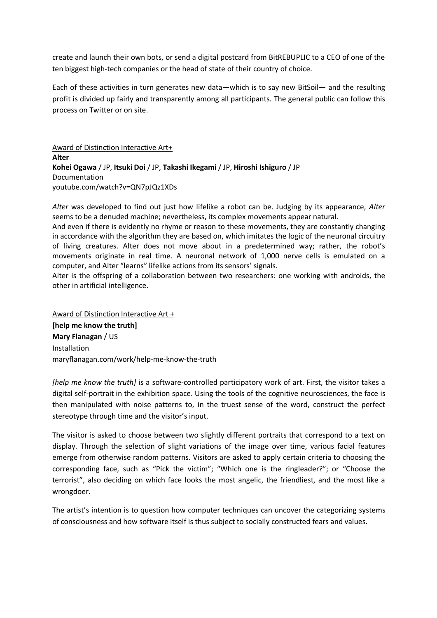create and launch their own bots, or send a digital postcard from BitREBUPLIC to a CEO of one of the ten biggest high-tech companies or the head of state of their country of choice.

Each of these activities in turn generates new data—which is to say new BitSoil— and the resulting profit is divided up fairly and transparently among all participants. The general public can follow this process on Twitter or on site.

Award of Distinction Interactive Art+ **Alter Kohei Ogawa** / JP, **Itsuki Doi** / JP, **Takashi Ikegami** / JP, **Hiroshi Ishiguro** / JP Documentation youtube.com/watch?v=QN7pJQz1XDs

*Alter* was developed to find out just how lifelike a robot can be. Judging by its appearance, *Alter* seems to be a denuded machine; nevertheless, its complex movements appear natural.

And even if there is evidently no rhyme or reason to these movements, they are constantly changing in accordance with the algorithm they are based on, which imitates the logic of the neuronal circuitry of living creatures. Alter does not move about in a predetermined way; rather, the robot's movements originate in real time. A neuronal network of 1,000 nerve cells is emulated on a computer, and Alter "learns" lifelike actions from its sensors' signals.

Alter is the offspring of a collaboration between two researchers: one working with androids, the other in artificial intelligence.

Award of Distinction Interactive Art + **[help me know the truth] Mary Flanagan** / US Installation maryflanagan.com/work/help-me-know-the-truth

*[help me know the truth]* is a software-controlled participatory work of art. First, the visitor takes a digital self-portrait in the exhibition space. Using the tools of the cognitive neurosciences, the face is then manipulated with noise patterns to, in the truest sense of the word, construct the perfect stereotype through time and the visitor's input.

The visitor is asked to choose between two slightly different portraits that correspond to a text on display. Through the selection of slight variations of the image over time, various facial features emerge from otherwise random patterns. Visitors are asked to apply certain criteria to choosing the corresponding face, such as "Pick the victim"; "Which one is the ringleader?"; or "Choose the terrorist", also deciding on which face looks the most angelic, the friendliest, and the most like a wrongdoer.

The artist's intention is to question how computer techniques can uncover the categorizing systems of consciousness and how software itself is thus subject to socially constructed fears and values.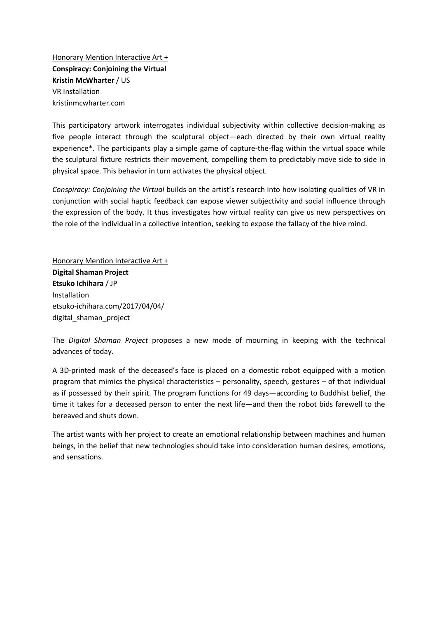Honorary Mention Interactive Art + **Conspiracy: Conjoining the Virtual Kristin McWharter** / US VR Installation kristinmcwharter.com

This participatory artwork interrogates individual subjectivity within collective decision-making as five people interact through the sculptural object—each directed by their own virtual reality experience\*. The participants play a simple game of capture-the-flag within the virtual space while the sculptural fixture restricts their movement, compelling them to predictably move side to side in physical space. This behavior in turn activates the physical object.

*Conspiracy: Conjoining the Virtual* builds on the artist's research into how isolating qualities of VR in conjunction with social haptic feedback can expose viewer subjectivity and social influence through the expression of the body. It thus investigates how virtual reality can give us new perspectives on the role of the individual in a collective intention, seeking to expose the fallacy of the hive mind.

Honorary Mention Interactive Art + **Digital Shaman Project Etsuko Ichihara** / JP Installation etsuko-ichihara.com/2017/04/04/ digital\_shaman\_project

The *Digital Shaman Project* proposes a new mode of mourning in keeping with the technical advances of today.

A 3D-printed mask of the deceased's face is placed on a domestic robot equipped with a motion program that mimics the physical characteristics – personality, speech, gestures – of that individual as if possessed by their spirit. The program functions for 49 days—according to Buddhist belief, the time it takes for a deceased person to enter the next life—and then the robot bids farewell to the bereaved and shuts down.

The artist wants with her project to create an emotional relationship between machines and human beings, in the belief that new technologies should take into consideration human desires, emotions, and sensations.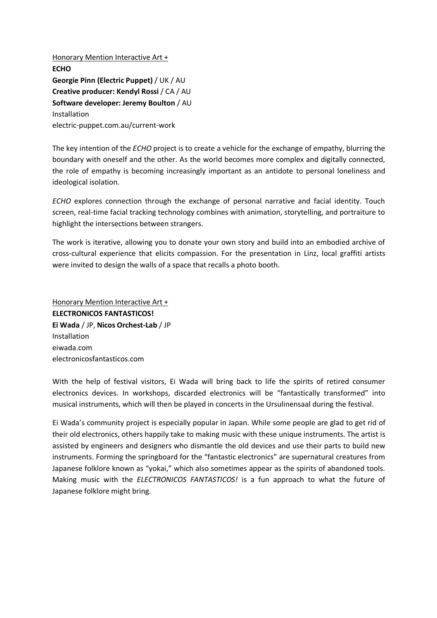Honorary Mention Interactive Art + **ECHO Georgie Pinn (Electric Puppet)** / UK / AU **Creative producer: Kendyl Rossi** / CA / AU **Software developer: Jeremy Boulton** / AU Installation electric-puppet.com.au/current-work

The key intention of the *ECHO* project is to create a vehicle for the exchange of empathy, blurring the boundary with oneself and the other. As the world becomes more complex and digitally connected, the role of empathy is becoming increasingly important as an antidote to personal loneliness and ideological isolation.

*ECHO* explores connection through the exchange of personal narrative and facial identity. Touch screen, real-time facial tracking technology combines with animation, storytelling, and portraiture to highlight the intersections between strangers.

The work is iterative, allowing you to donate your own story and build into an embodied archive of cross-cultural experience that elicits compassion. For the presentation in Linz, local graffiti artists were invited to design the walls of a space that recalls a photo booth.

Honorary Mention Interactive Art + **ELECTRONICOS FANTASTICOS! Ei Wada** / JP, **Nicos Orchest-Lab** / JP Installation eiwada.com electronicosfantasticos.com

With the help of festival visitors, Ei Wada will bring back to life the spirits of retired consumer electronics devices. In workshops, discarded electronics will be "fantastically transformed" into musical instruments, which will then be played in concerts in the Ursulinensaal during the festival.

Ei Wada's community project is especially popular in Japan. While some people are glad to get rid of their old electronics, others happily take to making music with these unique instruments. The artist is assisted by engineers and designers who dismantle the old devices and use their parts to build new instruments. Forming the springboard for the "fantastic electronics" are supernatural creatures from Japanese folklore known as "yokai," which also sometimes appear as the spirits of abandoned tools. Making music with the *ELECTRONICOS FANTASTICOS!* is a fun approach to what the future of Japanese folklore might bring.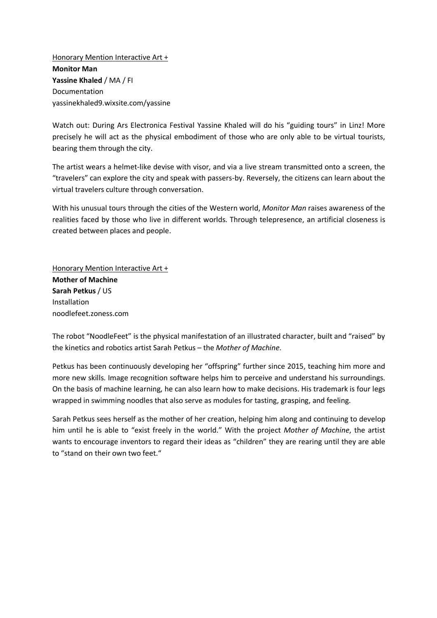Honorary Mention Interactive Art + **Monitor Man Yassine Khaled** / MA / FI Documentation yassinekhaled9.wixsite.com/yassine

Watch out: During Ars Electronica Festival Yassine Khaled will do his "guiding tours" in Linz! More precisely he will act as the physical embodiment of those who are only able to be virtual tourists, bearing them through the city.

The artist wears a helmet-like devise with visor, and via a live stream transmitted onto a screen, the "travelers" can explore the city and speak with passers-by. Reversely, the citizens can learn about the virtual travelers culture through conversation.

With his unusual tours through the cities of the Western world, *Monitor Man* raises awareness of the realities faced by those who live in different worlds. Through telepresence, an artificial closeness is created between places and people.

Honorary Mention Interactive Art + **Mother of Machine Sarah Petkus** / US Installation noodlefeet.zoness.com

The robot "NoodleFeet" is the physical manifestation of an illustrated character, built and "raised" by the kinetics and robotics artist Sarah Petkus – the *Mother of Machine*.

Petkus has been continuously developing her "offspring" further since 2015, teaching him more and more new skills. Image recognition software helps him to perceive and understand his surroundings. On the basis of machine learning, he can also learn how to make decisions. His trademark is four legs wrapped in swimming noodles that also serve as modules for tasting, grasping, and feeling.

Sarah Petkus sees herself as the mother of her creation, helping him along and continuing to develop him until he is able to "exist freely in the world." With the project *Mother of Machine*, the artist wants to encourage inventors to regard their ideas as "children" they are rearing until they are able to "stand on their own two feet."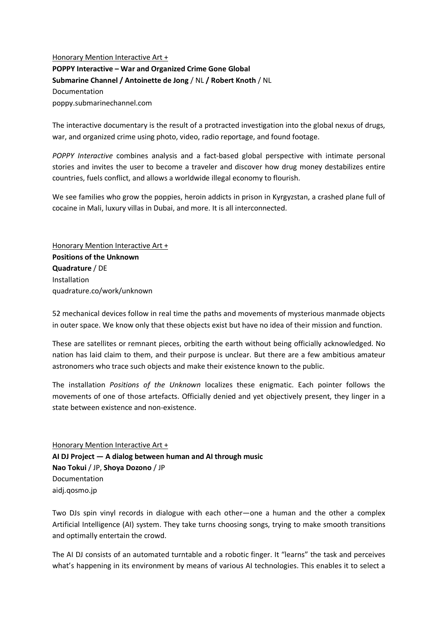Honorary Mention Interactive Art + **POPPY Interactive – War and Organized Crime Gone Global Submarine Channel / Antoinette de Jong** / NL **/ Robert Knoth** / NL Documentation poppy.submarinechannel.com

The interactive documentary is the result of a protracted investigation into the global nexus of drugs, war, and organized crime using photo, video, radio reportage, and found footage.

*POPPY Interactive* combines analysis and a fact-based global perspective with intimate personal stories and invites the user to become a traveler and discover how drug money destabilizes entire countries, fuels conflict, and allows a worldwide illegal economy to flourish.

We see families who grow the poppies, heroin addicts in prison in Kyrgyzstan, a crashed plane full of cocaine in Mali, luxury villas in Dubai, and more. It is all interconnected.

Honorary Mention Interactive Art + **Positions of the Unknown Quadrature** / DE Installation quadrature.co/work/unknown

52 mechanical devices follow in real time the paths and movements of mysterious manmade objects in outer space. We know only that these objects exist but have no idea of their mission and function.

These are satellites or remnant pieces, orbiting the earth without being officially acknowledged. No nation has laid claim to them, and their purpose is unclear. But there are a few ambitious amateur astronomers who trace such objects and make their existence known to the public.

The installation *Positions of the Unknown* localizes these enigmatic. Each pointer follows the movements of one of those artefacts. Officially denied and yet objectively present, they linger in a state between existence and non-existence.

Honorary Mention Interactive Art + **AI DJ Project — A dialog between human and AI through music Nao Tokui** / JP, **Shoya Dozono** / JP Documentation aidj.qosmo.jp

Two DJs spin vinyl records in dialogue with each other—one a human and the other a complex Artificial Intelligence (AI) system. They take turns choosing songs, trying to make smooth transitions and optimally entertain the crowd.

The AI DJ consists of an automated turntable and a robotic finger. It "learns" the task and perceives what's happening in its environment by means of various AI technologies. This enables it to select a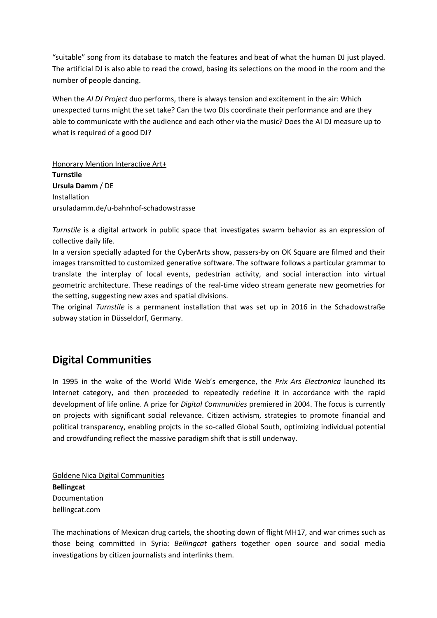"suitable" song from its database to match the features and beat of what the human DJ just played. The artificial DJ is also able to read the crowd, basing its selections on the mood in the room and the number of people dancing.

When the *AI DJ Project* duo performs, there is always tension and excitement in the air: Which unexpected turns might the set take? Can the two DJs coordinate their performance and are they able to communicate with the audience and each other via the music? Does the AI DJ measure up to what is required of a good DJ?

Honorary Mention Interactive Art+ **Turnstile Ursula Damm** / DE Installation ursuladamm.de/u-bahnhof-schadowstrasse

*Turnstile* is a digital artwork in public space that investigates swarm behavior as an expression of collective daily life.

In a version specially adapted for the CyberArts show, passers-by on OK Square are filmed and their images transmitted to customized generative software. The software follows a particular grammar to translate the interplay of local events, pedestrian activity, and social interaction into virtual geometric architecture. These readings of the real-time video stream generate new geometries for the setting, suggesting new axes and spatial divisions.

The original *Turnstile* is a permanent installation that was set up in 2016 in the Schadowstraße subway station in Düsseldorf, Germany.

# **Digital Communities**

In 1995 in the wake of the World Wide Web's emergence, the *Prix Ars Electronica* launched its Internet category, and then proceeded to repeatedly redefine it in accordance with the rapid development of life online. A prize for *Digital Communities* premiered in 2004. The focus is currently on projects with significant social relevance. Citizen activism, strategies to promote financial and political transparency, enabling projcts in the so-called Global South, optimizing individual potential and crowdfunding reflect the massive paradigm shift that is still underway.

Goldene Nica Digital Communities **Bellingcat** Documentation bellingcat.com

The machinations of Mexican drug cartels, the shooting down of flight MH17, and war crimes such as those being committed in Syria: *Bellingcat* gathers together open source and social media investigations by citizen journalists and interlinks them.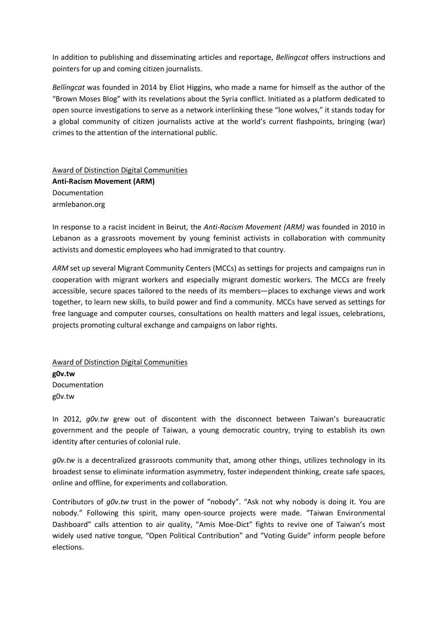In addition to publishing and disseminating articles and reportage, *Bellingcat* offers instructions and pointers for up and coming citizen journalists.

*Bellingcat* was founded in 2014 by Eliot Higgins, who made a name for himself as the author of the "Brown Moses Blog" with its revelations about the Syria conflict. Initiated as a platform dedicated to open source investigations to serve as a network interlinking these "lone wolves," it stands today for a global community of citizen journalists active at the world's current flashpoints, bringing (war) crimes to the attention of the international public.

Award of Distinction Digital Communities **Anti-Racism Movement (ARM)** Documentation armlebanon.org

In response to a racist incident in Beirut, the *Anti-Racism Movement (ARM)* was founded in 2010 in Lebanon as a grassroots movement by young feminist activists in collaboration with community activists and domestic employees who had immigrated to that country.

*ARM* set up several Migrant Community Centers (MCCs) as settings for projects and campaigns run in cooperation with migrant workers and especially migrant domestic workers. The MCCs are freely accessible, secure spaces tailored to the needs of its members—places to exchange views and work together, to learn new skills, to build power and find a community. MCCs have served as settings for free language and computer courses, consultations on health matters and legal issues, celebrations, projects promoting cultural exchange and campaigns on labor rights.

Award of Distinction Digital Communities **g0v.tw** Documentation g0v.tw

In 2012, *g0v.tw* grew out of discontent with the disconnect between Taiwan's bureaucratic government and the people of Taiwan, a young democratic country, trying to establish its own identity after centuries of colonial rule.

*g0v.tw* is a decentralized grassroots community that, among other things, utilizes technology in its broadest sense to eliminate information asymmetry, foster independent thinking, create safe spaces, online and offline, for experiments and collaboration.

Contributors of *g0v.tw* trust in the power of "nobody". "Ask not why nobody is doing it. You are nobody." Following this spirit, many open-source projects were made. "Taiwan Environmental Dashboard" calls attention to air quality, "Amis Moe-Dict" fights to revive one of Taiwan's most widely used native tongue, "Open Political Contribution" and "Voting Guide" inform people before elections.